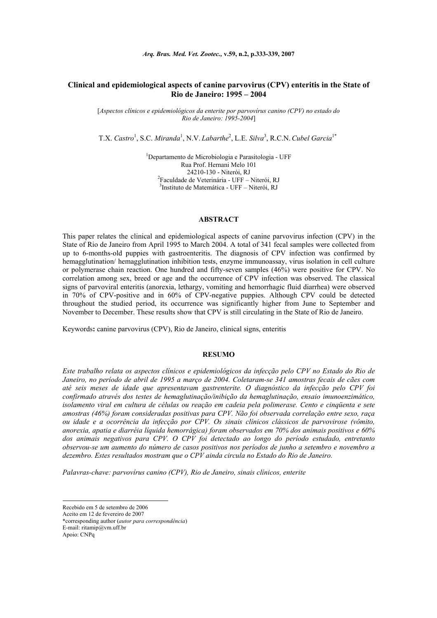*Arq. Bras. Med. Vet. Zootec.,* **v.59, n.2, p.333-339, 2007** 

# **Clinical and epidemiological aspects of canine parvovirus (CPV) enteritis in the State of Rio de Janeiro: 1995 – 2004**

[*Aspectos clínicos e epidemiológicos da enterite por parvovírus canino (CPV) no estado do Rio de Janeiro: 1995-2004*]

T.X. *Castro*<sup>1</sup> , S.C. *Miranda*<sup>1</sup> , N.V. *Labarthe*<sup>2</sup> , L.E. *Silva*<sup>3</sup> , R.C.N.*Cubel Garcia*1\*

1 Departamento de Microbiologia e Parasitologia - UFF Rua Prof. Hernani Melo 101 24210-130 - Niterói, RJ<br><sup>2</sup> Faculdade de Veterinária - UFF – Niterói, RJ 3 Instituto de Matemática - UFF – Niterói, RJ

### **ABSTRACT**

This paper relates the clinical and epidemiological aspects of canine parvovirus infection (CPV) in the State of Rio de Janeiro from April 1995 to March 2004. A total of 341 fecal samples were collected from up to 6-months-old puppies with gastroenteritis. The diagnosis of CPV infection was confirmed by hemagglutination/ hemagglutination inhibition tests, enzyme immunoassay, virus isolation in cell culture or polymerase chain reaction. One hundred and fifty-seven samples (46%) were positive for CPV. No correlation among sex, breed or age and the occurrence of CPV infection was observed. The classical signs of parvoviral enteritis (anorexia, lethargy, vomiting and hemorrhagic fluid diarrhea) were observed in 70% of CPV-positive and in 60% of CPV-negative puppies. Although CPV could be detected throughout the studied period, its occurrence was significantly higher from June to September and November to December. These results show that CPV is still circulating in the State of Rio de Janeiro.

Keywords**:** canine parvovirus (CPV), Rio de Janeiro, clinical signs, enteritis

#### **RESUMO**

*Este trabalho relata os aspectos clínicos e epidemiológicos da infecção pelo CPV no Estado do Rio de Janeiro, no período de abril de 1995 a março de 2004. Coletaram-se 341 amostras fecais de cães com até seis meses de idade que apresentavam gastrenterite. O diagnóstico da infecção pelo CPV foi confirmado através dos testes de hemaglutinação/inibição da hemaglutinação, ensaio imunoenzimático, isolamento viral em cultura de células ou reação em cadeia pela polimerase. Cento e cinqüenta e sete amostras (46%) foram consideradas positivas para CPV. Não foi observada correlação entre sexo, raça ou idade e a ocorrência da infecção por CPV. Os sinais clínicos clássicos de parvovirose (vômito, anorexia, apatia e diarréia líquida hemorrágica) foram observados em 70% dos animais positivos e 60% dos animais negativos para CPV. O CPV foi detectado ao longo do período estudado, entretanto observou-se um aumento do número de casos positivos nos períodos de junho a setembro e novembro a dezembro. Estes resultados mostram que o CPV ainda circula no Estado do Rio de Janeiro.* 

*Palavras-chave: parvovírus canino (CPV), Rio de Janeiro, sinais clínicos, enterite*

l

Recebido em 5 de setembro de 2006

Aceito em 12 de fevereiro de 2007 \*corresponding author (*autor para correspondência*)

E-mail: ritamip@vm.uff.br

Apoio: CNPq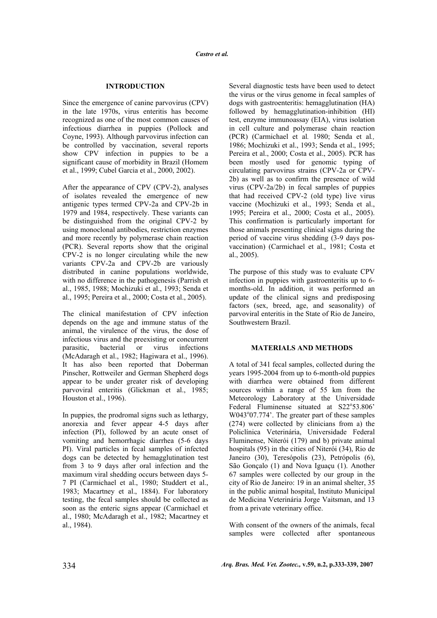# **INTRODUCTION**

Since the emergence of canine parvovirus (CPV) in the late 1970s, virus enteritis has become recognized as one of the most common causes of infectious diarrhea in puppies (Pollock and Coyne, 1993). Although parvovirus infection can be controlled by vaccination, several reports show CPV infection in puppies to be a significant cause of morbidity in Brazil (Homem et al., 1999; Cubel Garcia et al., 2000, 2002).

After the appearance of CPV (CPV-2), analyses of isolates revealed the emergence of new antigenic types termed CPV-2a and CPV-2b in 1979 and 1984, respectively. These variants can be distinguished from the original CPV-2 by using monoclonal antibodies, restriction enzymes and more recently by polymerase chain reaction (PCR). Several reports show that the original CPV-2 is no longer circulating while the new variants CPV-2a and CPV-2b are variously distributed in canine populations worldwide, with no difference in the pathogenesis (Parrish et al., 1985, 1988; Mochizuki et al., 1993; Senda et al., 1995; Pereira et al., 2000; Costa et al., 2005).

The clinical manifestation of CPV infection depends on the age and immune status of the animal, the virulence of the virus, the dose of infectious virus and the preexisting or concurrent parasitic, bacterial or virus infections (McAdaragh et al., 1982; Hagiwara et al., 1996). It has also been reported that Doberman Pinscher, Rottweiler and German Shepherd dogs appear to be under greater risk of developing parvoviral enteritis (Glickman et al., 1985; Houston et al., 1996).

In puppies, the prodromal signs such as lethargy, anorexia and fever appear 4-5 days after infection (PI), followed by an acute onset of vomiting and hemorrhagic diarrhea (5-6 days PI). Viral particles in fecal samples of infected dogs can be detected by hemagglutination test from 3 to 9 days after oral infection and the maximum viral shedding occurs between days 5- 7 PI (Carmichael et al., 1980; Studdert et al., 1983; Macartney et al., 1884). For laboratory testing, the fecal samples should be collected as soon as the enteric signs appear (Carmichael et al., 1980; McAdaragh et al., 1982; Macartney et al., 1984).

Several diagnostic tests have been used to detect the virus or the virus genome in fecal samples of dogs with gastroenteritis: hemagglutination (HA) followed by hemagglutination-inhibition (HI) test, enzyme immunoassay (EIA), virus isolation in cell culture and polymerase chain reaction (PCR) (Carmichael et al*.* 1980; Senda et al*.,* 1986; Mochizuki et al., 1993; Senda et al., 1995; Pereira et al., 2000; Costa et al., 2005). PCR has been mostly used for genomic typing of circulating parvovirus strains (CPV-2a or CPV-2b) as well as to confirm the presence of wild virus (CPV-2a/2b) in fecal samples of puppies that had received CPV-2 (old type) live virus vaccine (Mochizuki et al., 1993; Senda et al., 1995; Pereira et al., 2000; Costa et al., 2005). This confirmation is particularly important for those animals presenting clinical signs during the period of vaccine virus shedding (3-9 days posvaccination) (Carmichael et al., 1981; Costa et al., 2005).

The purpose of this study was to evaluate CPV infection in puppies with gastroenteritis up to 6 months-old. In addition, it was performed an update of the clinical signs and predisposing factors (sex, breed, age, and seasonality) of parvoviral enteritis in the State of Rio de Janeiro, Southwestern Brazil.

### **MATERIALS AND METHODS**

A total of 341 fecal samples, collected during the years 1995-2004 from up to 6-month-old puppies with diarrhea were obtained from different sources within a range of 55 km from the Meteorology Laboratory at the Universidade Federal Fluminense situated at S22°53.806' W043°07.774'. The greater part of these samples (274) were collected by clinicians from a) the Policlínica Veterinária, Universidade Federal Fluminense, Niterói (179) and b) private animal hospitals (95) in the cities of Niterói (34), Rio de Janeiro (30), Teresópolis (23), Petrópolis (6), São Gonçalo (1) and Nova Iguaçu (1). Another 67 samples were collected by our group in the city of Rio de Janeiro: 19 in an animal shelter, 35 in the public animal hospital, Instituto Municipal de Medicina Veterinária Jorge Vaitsman, and 13 from a private veterinary office.

With consent of the owners of the animals, fecal samples were collected after spontaneous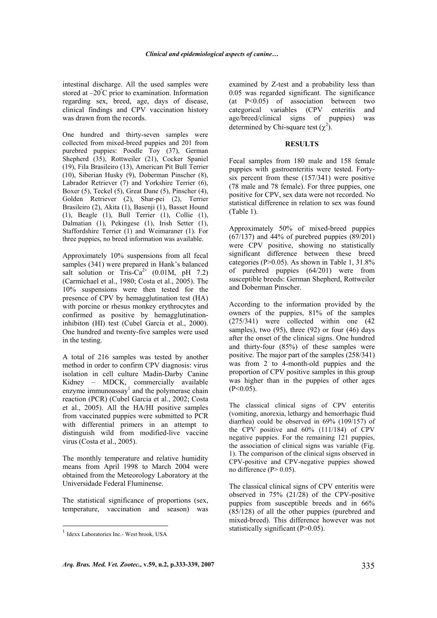intestinal discharge. All the used samples were stored at –20º C prior to examination. Information regarding sex, breed, age, days of disease, clinical findings and CPV vaccination history was drawn from the records.

One hundred and thirty-seven samples were collected from mixed-breed puppies and 201 from purebred puppies: Poodle Toy (37), German Shepherd (35), Rottweiler (21), Cocker Spaniel (19), Fila Brasileiro (13), American Pit Bull Terrier (10), Siberian Husky (9), Doberman Pinscher (8), Labrador Retriever (7) and Yorkshire Terrier (6), Boxer (5), Teckel (5), Great Dane (5), Pinscher (4), Golden Retriever (2), Shar-pei (2), Terrier Brasileiro (2), Akita (1), Basenji (1), Basset Hound (1), Beagle (1), Bull Terrier (1), Collie (1), Dalmatian (1), Pekingese (1), Irish Setter (1), Staffordshire Terrier (1) and Weimaraner (1). For three puppies, no breed information was available.

Approximately 10% suspensions from all fecal samples (341) were prepared in Hank's balanced salt solution or  $\text{Tris-Ca}^{2+}$  (0.01M, pH 7.2) (Carmichael et al., 1980; Costa et al., 2005). The 10% suspensions were then tested for the presence of CPV by hemagglutination test (HA) with porcine or rhesus monkey erythrocytes and confirmed as positive by hemagglutinationinhibiton (HI) test (Cubel Garcia et al., 2000). One hundred and twenty-five samples were used in the testing.

A total of 216 samples was tested by another method in order to confirm CPV diagnosis: virus isolation in cell culture Madin-Darby Canine Kidney – MDCK, commercially available enzyme immunoassay $<sup>1</sup>$  and the polymerase chain</sup> reaction (PCR) (Cubel Garcia et al., 2002; Costa et al., 2005). All the HA/HI positive samples from vaccinated puppies were submitted to PCR with differential primers in an attempt to distinguish wild from modified-live vaccine virus (Costa et al., 2005).

The monthly temperature and relative humidity means from April 1998 to March 2004 were obtained from the Meteorology Laboratory at the Universidade Federal Fluminense.

The statistical significance of proportions (sex, temperature, vaccination and season) was

l

examined by Z-test and a probability less than 0.05 was regarded significant. The significance  $(at \ P < 0.05)$  of association between two categorical variables  $(CPV$  enteritis and categorical variables (CPV enteritis and age/breed/clinical signs of puppies) was determined by Chi-square test  $(\chi^2)$ .

#### **RESULTS**

Fecal samples from 180 male and 158 female puppies with gastroenteritis were tested. Fortysix percent from these (157/341) were positive (78 male and 78 female). For three puppies, one positive for CPV, sex data were not recorded. No statistical difference in relation to sex was found (Table 1).

Approximately 50% of mixed-breed puppies  $(67/137)$  and 44% of purebred puppies  $(89/201)$ were CPV positive, showing no statistically significant difference between these breed categories ( $P > 0.05$ ). As shown in Table 1, 31.8% of purebred puppies (64/201) were from susceptible breeds: German Shepherd, Rottweiler and Doberman Pinscher.

According to the information provided by the owners of the puppies, 81% of the samples (275/341) were collected within one (42 samples), two  $(95)$ , three  $(92)$  or four  $(46)$  days after the onset of the clinical signs. One hundred and thirty-four (85%) of these samples were positive. The major part of the samples (258/341) was from 2 to 4-month-old puppies and the proportion of CPV positive samples in this group was higher than in the puppies of other ages  $(P<0.05)$ .

The classical clinical signs of CPV enteritis (vomiting, anorexia, lethargy and hemorrhagic fluid diarrhea) could be observed in 69% (109/157) of the CPV positive and 60% (111/184) of CPV negative puppies. For the remaining 121 puppies, the association of clinical signs was variable (Fig. 1). The comparison of the clinical signs observed in CPV-positive and CPV-negative puppies showed no difference ( $P > 0.05$ ).

The classical clinical signs of CPV enteritis were observed in 75% (21/28) of the CPV-positive puppies from susceptible breeds and in 66% (85/128) of all the other puppies (purebred and mixed-breed). This difference however was not statistically significant (P>0.05).

<sup>&</sup>lt;sup>1</sup> Idexx Laboratories Inc.- West brook, USA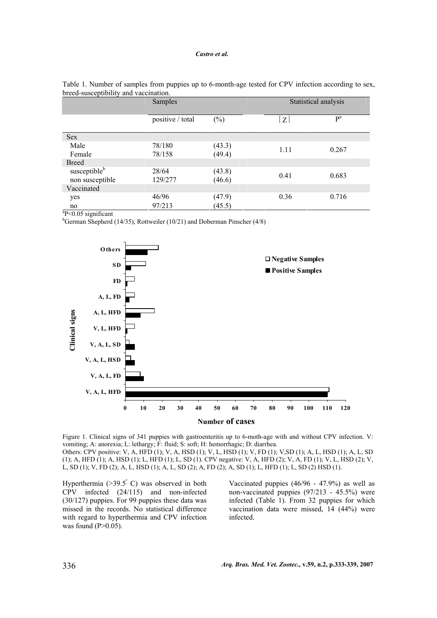|                             | Samples          |        |      | Statistical analysis |  |
|-----------------------------|------------------|--------|------|----------------------|--|
|                             | positive / total | $(\%)$ | Z    | P <sup>a</sup>       |  |
| Sex                         |                  |        |      |                      |  |
| Male                        | 78/180           | (43.3) | 1.11 | 0.267                |  |
| Female                      | 78/158           | (49.4) |      |                      |  |
| <b>Breed</b>                |                  |        |      |                      |  |
| susceptible <sup>b</sup>    | 28/64            | (43.8) | 0.41 | 0.683                |  |
| non susceptible             | 129/277          | (46.6) |      |                      |  |
| Vaccinated                  |                  |        |      |                      |  |
| yes                         | 46/96            | (47.9) | 0.36 | 0.716                |  |
| no<br>$2 - 0 - 1$<br>$\sim$ | 97/213           | (45.5) |      |                      |  |

| Table 1. Number of samples from puppies up to 6-month-age tested for CPV infection according to sex, |  |
|------------------------------------------------------------------------------------------------------|--|
| breed-susceptibility and vaccination.                                                                |  |

 $aP<0.05$  significant

<sup>b</sup>German Shepherd (14/35), Rottweiler (10/21) and Doberman Pinscher (4/8)



Figure 1. Clinical signs of 341 puppies with gastroenteritis up to 6-moth-age with and without CPV infection. V: vomiting; A: anorexia; L: lethargy; F: fluid; S: soft; H: hemorrhagic; D: diarrhea. Others: CPV positive: V, A, HFD (1); V, A, HSD (1); V, L, HSD (1); V, FD (1); V,SD (1); A, L, HSD (1); A, L, SD (1); A, HFD (1); A, HSD (1); L, HFD (1); L, SD (1). CPV negative: V, A, HFD (2); V, A, FD (1); V, L, HSD (2); V, L, SD (1); V, FD (2); A, L, HSD (1); A, L, SD (2); A, FD (2); A, SD (1); L, HFD (1); L, SD (2) HSD (1).

Hyperthermia ( $>39.5^{\circ}$  C) was observed in both CPV infected (24/115) and non-infected (30/127) puppies. For 99 puppies these data was missed in the records. No statistical difference with regard to hyperthermia and CPV infection was found  $(P>0.05)$ .

Vaccinated puppies (46/96 - 47.9%) as well as non-vaccinated puppies (97/213 - 45.5%) were infected (Table 1). From 32 puppies for which vaccination data were missed, 14 (44%) were infected.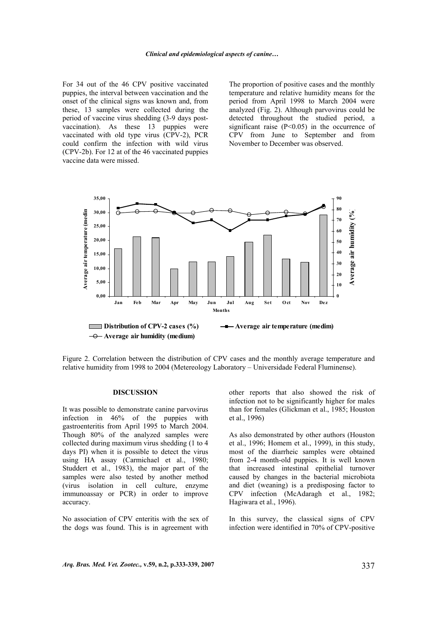For 34 out of the 46 CPV positive vaccinated puppies, the interval between vaccination and the onset of the clinical signs was known and, from these, 13 samples were collected during the period of vaccine virus shedding (3-9 days postvaccination). As these 13 puppies were vaccinated with old type virus (CPV-2), PCR could confirm the infection with wild virus (CPV-2b). For 12 at of the 46 vaccinated puppies vaccine data were missed.

The proportion of positive cases and the monthly temperature and relative humidity means for the period from April 1998 to March 2004 were analyzed (Fig. 2). Although parvovirus could be detected throughout the studied period, a significant raise  $(P<0.05)$  in the occurrence of CPV from June to September and from November to December was observed.



Figure 2. Correlation between the distribution of CPV cases and the monthly average temperature and relative humidity from 1998 to 2004 (Metereology Laboratory – Universidade Federal Fluminense).

#### **DISCUSSION**

It was possible to demonstrate canine parvovirus infection in 46% of the puppies with gastroenteritis from April 1995 to March 2004. Though 80% of the analyzed samples were collected during maximum virus shedding (1 to 4 days PI) when it is possible to detect the virus using HA assay (Carmichael et al., 1980; Studdert et al., 1983), the major part of the samples were also tested by another method (virus isolation in cell culture, enzyme immunoassay or PCR) in order to improve accuracy.

No association of CPV enteritis with the sex of the dogs was found. This is in agreement with other reports that also showed the risk of infection not to be significantly higher for males than for females (Glickman et al., 1985; Houston et al., 1996)

As also demonstrated by other authors (Houston et al., 1996; Homem et al., 1999), in this study, most of the diarrheic samples were obtained from 2-4 month-old puppies. It is well known that increased intestinal epithelial turnover caused by changes in the bacterial microbiota and diet (weaning) is a predisposing factor to CPV infection (McAdaragh et al., 1982; Hagiwara et al., 1996).

In this survey, the classical signs of CPV infection were identified in 70% of CPV-positive

*Arq. Bras. Med. Vet. Zootec.,* **v.59, n.2, p.333-339, 2007** 337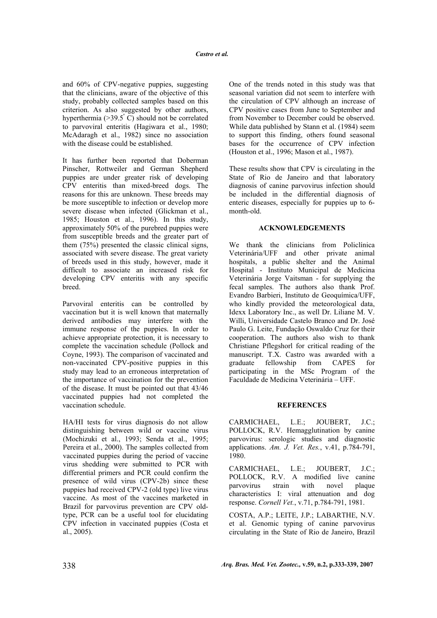and 60% of CPV-negative puppies, suggesting that the clinicians, aware of the objective of this study, probably collected samples based on this criterion. As also suggested by other authors, hyperthermia  $(>39.5^{\circ} \text{ C})$  should not be correlated to parvoviral enteritis (Hagiwara et al., 1980; McAdaragh et al., 1982) since no association with the disease could be established.

It has further been reported that Doberman Pinscher, Rottweiler and German Shepherd puppies are under greater risk of developing CPV enteritis than mixed-breed dogs. The reasons for this are unknown. These breeds may be more susceptible to infection or develop more severe disease when infected (Glickman et al., 1985; Houston et al., 1996). In this study, approximately 50% of the purebred puppies were from susceptible breeds and the greater part of them (75%) presented the classic clinical signs, associated with severe disease. The great variety of breeds used in this study, however, made it difficult to associate an increased risk for developing CPV enteritis with any specific breed.

Parvoviral enteritis can be controlled by vaccination but it is well known that maternally derived antibodies may interfere with the immune response of the puppies. In order to achieve appropriate protection, it is necessary to complete the vaccination schedule (Pollock and Coyne, 1993). The comparison of vaccinated and non-vaccinated CPV-positive puppies in this study may lead to an erroneous interpretation of the importance of vaccination for the prevention of the disease. It must be pointed out that 43/46 vaccinated puppies had not completed the vaccination schedule.

HA/HI tests for virus diagnosis do not allow distinguishing between wild or vaccine virus (Mochizuki et al., 1993; Senda et al., 1995; Pereira et al., 2000). The samples collected from vaccinated puppies during the period of vaccine virus shedding were submitted to PCR with differential primers and PCR could confirm the presence of wild virus (CPV-2b) since these puppies had received CPV-2 (old type) live virus vaccine. As most of the vaccines marketed in Brazil for parvovirus prevention are CPV oldtype, PCR can be a useful tool for elucidating CPV infection in vaccinated puppies (Costa et al., 2005).

One of the trends noted in this study was that seasonal variation did not seem to interfere with the circulation of CPV although an increase of CPV positive cases from June to September and from November to December could be observed. While data published by Stann et al. (1984) seem to support this finding, others found seasonal bases for the occurrence of CPV infection (Houston et al., 1996; Mason et al., 1987).

These results show that CPV is circulating in the State of Rio de Janeiro and that laboratory diagnosis of canine parvovirus infection should be included in the differential diagnosis of enteric diseases, especially for puppies up to 6 month-old.

# **ACKNOWLEDGEMENTS**

We thank the clinicians from Policlínica Veterinária/UFF and other private animal hospitals, a public shelter and the Animal Hospital - Instituto Municipal de Medicina Veterinária Jorge Vaitsman - for supplying the fecal samples. The authors also thank Prof. Evandro Barbieri, Instituto de Geoquímica/UFF, who kindly provided the meteorological data, Idexx Laboratory Inc., as well Dr. Liliane M. V. Willi, Universidade Castelo Branco and Dr. José Paulo G. Leite, Fundação Oswaldo Cruz for their cooperation. The authors also wish to thank Christiane Pflegshorl for critical reading of the manuscript. T.X. Castro was awarded with a graduate fellowship from CAPES for participating in the MSc Program of the Faculdade de Medicina Veterinária – UFF.

### **REFERENCES**

CARMICHAEL, L.E.; JOUBERT, J.C.; POLLOCK, R.V. Hemagglutination by canine parvovirus: serologic studies and diagnostic applications. *Am. J. Vet. Res.*, v.41, p.784-791, 1980.

CARMICHAEL, L.E.; JOUBERT, J.C.; POLLOCK, R.V. A modified live canine parvovirus strain with novel plaque characteristics I: viral attenuation and dog response. *Cornell Vet.*, v.71, p.784-791, 1981.

COSTA, A.P.; LEITE, J.P.; LABARTHE, N.V. et al. Genomic typing of canine parvovirus circulating in the State of Rio de Janeiro, Brazil